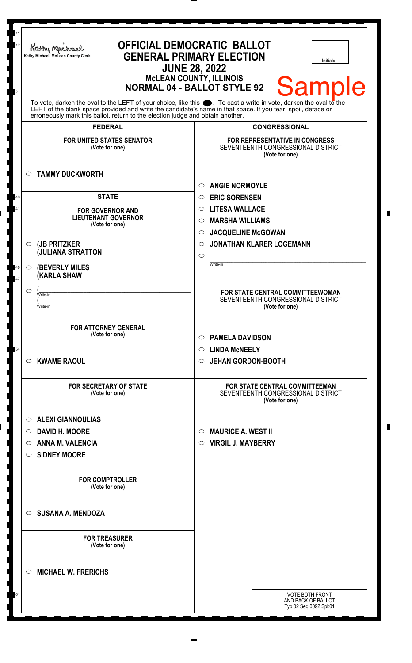| 11<br>12<br>21      | Kathy Michael<br>Kathy Michael, McLean County Clerk                                                                                                                                                                                                                                                                    | <b>OFFICIAL DEMOCRATIC BALLOT</b><br><b>GENERAL PRIMARY ELECTION</b><br><b>Initials</b><br><b>JUNE 28, 2022</b><br><b>McLEAN COUNTY, ILLINOIS</b><br><b>Samp</b><br><b>NORMAL 04 - BALLOT STYLE 92</b> |
|---------------------|------------------------------------------------------------------------------------------------------------------------------------------------------------------------------------------------------------------------------------------------------------------------------------------------------------------------|--------------------------------------------------------------------------------------------------------------------------------------------------------------------------------------------------------|
|                     | To vote, darken the oval to the LEFT of your choice, like this $\bullet$ . To cast a write-in vote, darken the oval to the LEFT of the boral to the LEFT of the blank space provided and write the candidate's name in that space. I<br>erroneously mark this ballot, return to the election judge and obtain another. |                                                                                                                                                                                                        |
|                     | <b>FEDERAL</b>                                                                                                                                                                                                                                                                                                         | <b>CONGRESSIONAL</b>                                                                                                                                                                                   |
|                     | <b>FOR UNITED STATES SENATOR</b><br>(Vote for one)                                                                                                                                                                                                                                                                     | <b>FOR REPRESENTATIVE IN CONGRESS</b><br>SEVENTEENTH CONGRESSIONAL DISTRICT<br>(Vote for one)                                                                                                          |
| O                   | <b>TAMMY DUCKWORTH</b>                                                                                                                                                                                                                                                                                                 |                                                                                                                                                                                                        |
| 40                  | <b>STATE</b>                                                                                                                                                                                                                                                                                                           | <b>ANGIE NORMOYLE</b><br>$\circ$<br><b>ERIC SORENSEN</b><br>$\circ$                                                                                                                                    |
| 41                  | <b>FOR GOVERNOR AND</b>                                                                                                                                                                                                                                                                                                | <b>LITESA WALLACE</b><br>$\circ$                                                                                                                                                                       |
|                     | <b>LIEUTENANT GOVERNOR</b>                                                                                                                                                                                                                                                                                             | <b>MARSHA WILLIAMS</b><br>$\circ$                                                                                                                                                                      |
|                     | (Vote for one)                                                                                                                                                                                                                                                                                                         | <b>JACQUELINE McGOWAN</b><br>$\circ$                                                                                                                                                                   |
| $\circ$             | (JB PRITZKER                                                                                                                                                                                                                                                                                                           | <b>JONATHAN KLARER LOGEMANN</b><br>$\circ$                                                                                                                                                             |
|                     | <b>JULIANA STRATTON</b>                                                                                                                                                                                                                                                                                                | $\circ$                                                                                                                                                                                                |
| 46<br>$\circ$<br>47 | <b>(BEVERLY MILES)</b><br><b>(KARLA SHAW</b>                                                                                                                                                                                                                                                                           | Write-in                                                                                                                                                                                               |
| $\circ$             | Write-in                                                                                                                                                                                                                                                                                                               | FOR STATE CENTRAL COMMITTEEWOMAN                                                                                                                                                                       |
|                     | Write-in                                                                                                                                                                                                                                                                                                               | SEVENTEENTH CONGRESSIONAL DISTRICT<br>(Vote for one)                                                                                                                                                   |
|                     | <b>FOR ATTORNEY GENERAL</b><br>(Vote for one)                                                                                                                                                                                                                                                                          | <b>PAMELA DAVIDSON</b><br>$\circ$                                                                                                                                                                      |
| 54                  |                                                                                                                                                                                                                                                                                                                        | $\circ$ LINDA McNEELY                                                                                                                                                                                  |
| $\circ$             | <b>KWAME RAOUL</b>                                                                                                                                                                                                                                                                                                     | <b>JEHAN GORDON-BOOTH</b><br>$\circ$                                                                                                                                                                   |
|                     | <b>FOR SECRETARY OF STATE</b><br>(Vote for one)                                                                                                                                                                                                                                                                        | <b>FOR STATE CENTRAL COMMITTEEMAN</b><br>SEVENTEENTH CONGRESSIONAL DISTRICT<br>(Vote for one)                                                                                                          |
| O                   | <b>ALEXI GIANNOULIAS</b>                                                                                                                                                                                                                                                                                               |                                                                                                                                                                                                        |
| O                   | <b>DAVID H. MOORE</b>                                                                                                                                                                                                                                                                                                  | <b>MAURICE A. WEST II</b><br>$\circ$                                                                                                                                                                   |
| O                   | <b>ANNA M. VALENCIA</b>                                                                                                                                                                                                                                                                                                | <b>VIRGIL J. MAYBERRY</b><br>$\circ$                                                                                                                                                                   |
| O                   | <b>SIDNEY MOORE</b>                                                                                                                                                                                                                                                                                                    |                                                                                                                                                                                                        |
|                     | <b>FOR COMPTROLLER</b><br>(Vote for one)                                                                                                                                                                                                                                                                               |                                                                                                                                                                                                        |
| $\circ$             | <b>SUSANA A. MENDOZA</b>                                                                                                                                                                                                                                                                                               |                                                                                                                                                                                                        |
|                     | <b>FOR TREASURER</b><br>(Vote for one)                                                                                                                                                                                                                                                                                 |                                                                                                                                                                                                        |
| O                   | <b>MICHAEL W. FRERICHS</b>                                                                                                                                                                                                                                                                                             |                                                                                                                                                                                                        |
| 61                  |                                                                                                                                                                                                                                                                                                                        | <b>VOTE BOTH FRONT</b>                                                                                                                                                                                 |
|                     |                                                                                                                                                                                                                                                                                                                        | AND BACK OF BALLOT<br>Typ:02 Seq:0092 Spl:01                                                                                                                                                           |
|                     |                                                                                                                                                                                                                                                                                                                        |                                                                                                                                                                                                        |